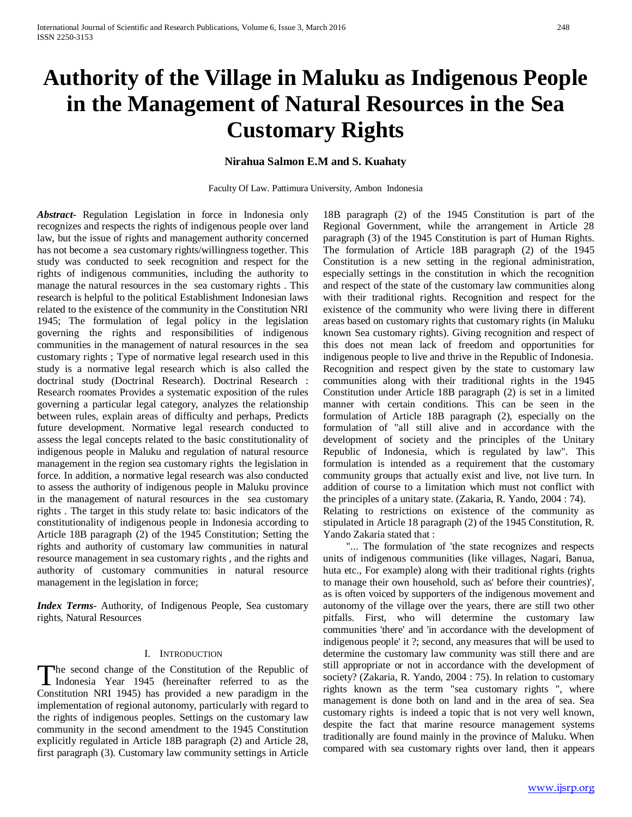# **Authority of the Village in Maluku as Indigenous People in the Management of Natural Resources in the Sea Customary Rights**

## **Nirahua Salmon E.M and S. Kuahaty**

Faculty Of Law. Pattimura University, Ambon Indonesia

*Abstract***-** Regulation Legislation in force in Indonesia only recognizes and respects the rights of indigenous people over land law, but the issue of rights and management authority concerned has not become a sea customary rights/willingness together. This study was conducted to seek recognition and respect for the rights of indigenous communities, including the authority to manage the natural resources in the sea customary rights . This research is helpful to the political Establishment Indonesian laws related to the existence of the community in the Constitution NRI 1945; The formulation of legal policy in the legislation governing the rights and responsibilities of indigenous communities in the management of natural resources in the sea customary rights ; Type of normative legal research used in this study is a normative legal research which is also called the doctrinal study (Doctrinal Research). Doctrinal Research : Research roomates Provides a systematic exposition of the rules governing a particular legal category, analyzes the relationship between rules, explain areas of difficulty and perhaps, Predicts future development. Normative legal research conducted to assess the legal concepts related to the basic constitutionality of indigenous people in Maluku and regulation of natural resource management in the region sea customary rights the legislation in force. In addition, a normative legal research was also conducted to assess the authority of indigenous people in Maluku province in the management of natural resources in the sea customary rights . The target in this study relate to: basic indicators of the constitutionality of indigenous people in Indonesia according to Article 18B paragraph (2) of the 1945 Constitution; Setting the rights and authority of customary law communities in natural resource management in sea customary rights , and the rights and authority of customary communities in natural resource management in the legislation in force;

*Index Terms*- Authority, of Indigenous People, Sea customary rights, Natural Resources

#### I. INTRODUCTION

he second change of the Constitution of the Republic of The second change of the Constitution of the Republic of<br>Indonesia Year 1945 (hereinafter referred to as the Constitution NRI 1945) has provided a new paradigm in the implementation of regional autonomy, particularly with regard to the rights of indigenous peoples. Settings on the customary law community in the second amendment to the 1945 Constitution explicitly regulated in Article 18B paragraph (2) and Article 28, first paragraph (3). Customary law community settings in Article

18B paragraph (2) of the 1945 Constitution is part of the Regional Government, while the arrangement in Article 28 paragraph (3) of the 1945 Constitution is part of Human Rights. The formulation of Article 18B paragraph (2) of the 1945 Constitution is a new setting in the regional administration, especially settings in the constitution in which the recognition and respect of the state of the customary law communities along with their traditional rights. Recognition and respect for the existence of the community who were living there in different areas based on customary rights that customary rights (in Maluku known Sea customary rights). Giving recognition and respect of this does not mean lack of freedom and opportunities for indigenous people to live and thrive in the Republic of Indonesia. Recognition and respect given by the state to customary law communities along with their traditional rights in the 1945 Constitution under Article 18B paragraph (2) is set in a limited manner with certain conditions. This can be seen in the formulation of Article 18B paragraph (2), especially on the formulation of "all still alive and in accordance with the development of society and the principles of the Unitary Republic of Indonesia, which is regulated by law". This formulation is intended as a requirement that the customary community groups that actually exist and live, not live turn. In addition of course to a limitation which must not conflict with the principles of a unitary state. (Zakaria, R. Yando, 2004 : 74). Relating to restrictions on existence of the community as stipulated in Article 18 paragraph (2) of the 1945 Constitution, R. Yando Zakaria stated that :

 "... The formulation of 'the state recognizes and respects units of indigenous communities (like villages, Nagari, Banua, huta etc., For example) along with their traditional rights (rights to manage their own household, such as' before their countries)', as is often voiced by supporters of the indigenous movement and autonomy of the village over the years, there are still two other pitfalls. First, who will determine the customary law communities 'there' and 'in accordance with the development of indigenous people' it ?; second, any measures that will be used to determine the customary law community was still there and are still appropriate or not in accordance with the development of society? (Zakaria, R. Yando, 2004 : 75). In relation to customary rights known as the term "sea customary rights ", where management is done both on land and in the area of sea. Sea customary rights is indeed a topic that is not very well known, despite the fact that marine resource management systems traditionally are found mainly in the province of Maluku. When compared with sea customary rights over land, then it appears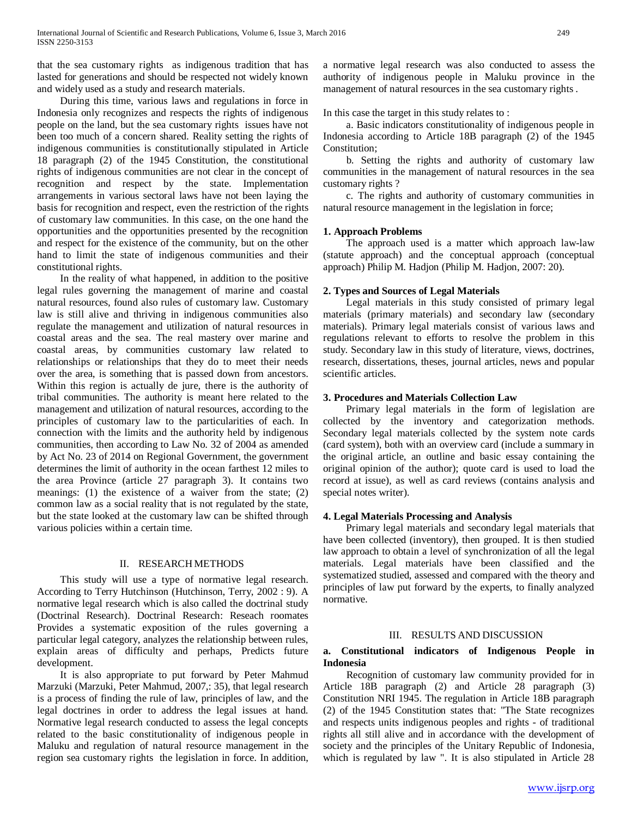that the sea customary rights as indigenous tradition that has lasted for generations and should be respected not widely known and widely used as a study and research materials.

 During this time, various laws and regulations in force in Indonesia only recognizes and respects the rights of indigenous people on the land, but the sea customary rights issues have not been too much of a concern shared. Reality setting the rights of indigenous communities is constitutionally stipulated in Article 18 paragraph (2) of the 1945 Constitution, the constitutional rights of indigenous communities are not clear in the concept of recognition and respect by the state. Implementation arrangements in various sectoral laws have not been laying the basis for recognition and respect, even the restriction of the rights of customary law communities. In this case, on the one hand the opportunities and the opportunities presented by the recognition and respect for the existence of the community, but on the other hand to limit the state of indigenous communities and their constitutional rights.

 In the reality of what happened, in addition to the positive legal rules governing the management of marine and coastal natural resources, found also rules of customary law. Customary law is still alive and thriving in indigenous communities also regulate the management and utilization of natural resources in coastal areas and the sea. The real mastery over marine and coastal areas, by communities customary law related to relationships or relationships that they do to meet their needs over the area, is something that is passed down from ancestors. Within this region is actually de jure, there is the authority of tribal communities. The authority is meant here related to the management and utilization of natural resources, according to the principles of customary law to the particularities of each. In connection with the limits and the authority held by indigenous communities, then according to Law No. 32 of 2004 as amended by Act No. 23 of 2014 on Regional Government, the government determines the limit of authority in the ocean farthest 12 miles to the area Province (article 27 paragraph 3). It contains two meanings: (1) the existence of a waiver from the state; (2) common law as a social reality that is not regulated by the state, but the state looked at the customary law can be shifted through various policies within a certain time.

#### II. RESEARCH METHODS

 This study will use a type of normative legal research. According to Terry Hutchinson (Hutchinson, Terry, 2002 : 9). A normative legal research which is also called the doctrinal study (Doctrinal Research). Doctrinal Research: Reseach roomates Provides a systematic exposition of the rules governing a particular legal category, analyzes the relationship between rules, explain areas of difficulty and perhaps, Predicts future development.

 It is also appropriate to put forward by Peter Mahmud Marzuki (Marzuki, Peter Mahmud, 2007,: 35), that legal research is a process of finding the rule of law, principles of law, and the legal doctrines in order to address the legal issues at hand. Normative legal research conducted to assess the legal concepts related to the basic constitutionality of indigenous people in Maluku and regulation of natural resource management in the region sea customary rights the legislation in force. In addition, a normative legal research was also conducted to assess the authority of indigenous people in Maluku province in the management of natural resources in the sea customary rights .

In this case the target in this study relates to :

 a. Basic indicators constitutionality of indigenous people in Indonesia according to Article 18B paragraph (2) of the 1945 Constitution;

 b. Setting the rights and authority of customary law communities in the management of natural resources in the sea customary rights ?

 c. The rights and authority of customary communities in natural resource management in the legislation in force;

## **1. Approach Problems**

 The approach used is a matter which approach law-law (statute approach) and the conceptual approach (conceptual approach) Philip M. Hadjon (Philip M. Hadjon, 2007: 20).

#### **2. Types and Sources of Legal Materials**

 Legal materials in this study consisted of primary legal materials (primary materials) and secondary law (secondary materials). Primary legal materials consist of various laws and regulations relevant to efforts to resolve the problem in this study. Secondary law in this study of literature, views, doctrines, research, dissertations, theses, journal articles, news and popular scientific articles.

#### **3. Procedures and Materials Collection Law**

 Primary legal materials in the form of legislation are collected by the inventory and categorization methods. Secondary legal materials collected by the system note cards (card system), both with an overview card (include a summary in the original article, an outline and basic essay containing the original opinion of the author); quote card is used to load the record at issue), as well as card reviews (contains analysis and special notes writer).

#### **4. Legal Materials Processing and Analysis**

 Primary legal materials and secondary legal materials that have been collected (inventory), then grouped. It is then studied law approach to obtain a level of synchronization of all the legal materials. Legal materials have been classified and the systematized studied, assessed and compared with the theory and principles of law put forward by the experts, to finally analyzed normative.

## III. RESULTS AND DISCUSSION

#### **a. Constitutional indicators of Indigenous People in Indonesia**

 Recognition of customary law community provided for in Article 18B paragraph (2) and Article 28 paragraph (3) Constitution NRI 1945. The regulation in Article 18B paragraph (2) of the 1945 Constitution states that: "The State recognizes and respects units indigenous peoples and rights - of traditional rights all still alive and in accordance with the development of society and the principles of the Unitary Republic of Indonesia, which is regulated by law ". It is also stipulated in Article 28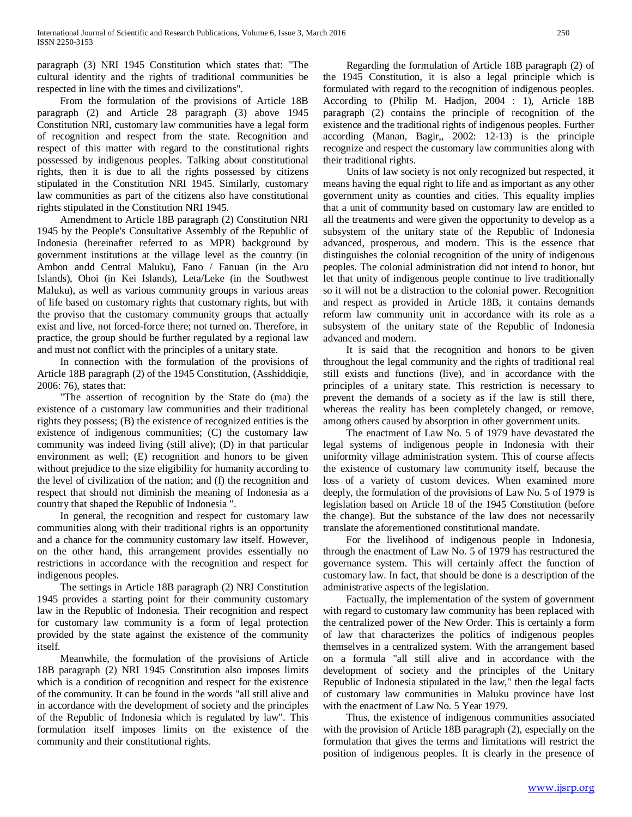paragraph (3) NRI 1945 Constitution which states that: "The cultural identity and the rights of traditional communities be respected in line with the times and civilizations".

 From the formulation of the provisions of Article 18B paragraph (2) and Article 28 paragraph (3) above 1945 Constitution NRI, customary law communities have a legal form of recognition and respect from the state. Recognition and respect of this matter with regard to the constitutional rights possessed by indigenous peoples. Talking about constitutional rights, then it is due to all the rights possessed by citizens stipulated in the Constitution NRI 1945. Similarly, customary law communities as part of the citizens also have constitutional rights stipulated in the Constitution NRI 1945.

 Amendment to Article 18B paragraph (2) Constitution NRI 1945 by the People's Consultative Assembly of the Republic of Indonesia (hereinafter referred to as MPR) background by government institutions at the village level as the country (in Ambon andd Central Maluku), Fano / Fanuan (in the Aru Islands), Ohoi (in Kei Islands), Leta/Leke (in the Southwest Maluku), as well as various community groups in various areas of life based on customary rights that customary rights, but with the proviso that the customary community groups that actually exist and live, not forced-force there; not turned on. Therefore, in practice, the group should be further regulated by a regional law and must not conflict with the principles of a unitary state.

 In connection with the formulation of the provisions of Article 18B paragraph (2) of the 1945 Constitution, (Asshiddiqie, 2006: 76), states that:

 "The assertion of recognition by the State do (ma) the existence of a customary law communities and their traditional rights they possess; (B) the existence of recognized entities is the existence of indigenous communities; (C) the customary law community was indeed living (still alive); (D) in that particular environment as well; (E) recognition and honors to be given without prejudice to the size eligibility for humanity according to the level of civilization of the nation; and (f) the recognition and respect that should not diminish the meaning of Indonesia as a country that shaped the Republic of Indonesia ".

 In general, the recognition and respect for customary law communities along with their traditional rights is an opportunity and a chance for the community customary law itself. However, on the other hand, this arrangement provides essentially no restrictions in accordance with the recognition and respect for indigenous peoples.

 The settings in Article 18B paragraph (2) NRI Constitution 1945 provides a starting point for their community customary law in the Republic of Indonesia. Their recognition and respect for customary law community is a form of legal protection provided by the state against the existence of the community itself.

 Meanwhile, the formulation of the provisions of Article 18B paragraph (2) NRI 1945 Constitution also imposes limits which is a condition of recognition and respect for the existence of the community. It can be found in the words "all still alive and in accordance with the development of society and the principles of the Republic of Indonesia which is regulated by law". This formulation itself imposes limits on the existence of the community and their constitutional rights.

 Regarding the formulation of Article 18B paragraph (2) of the 1945 Constitution, it is also a legal principle which is formulated with regard to the recognition of indigenous peoples. According to (Philip M. Hadjon, 2004 : 1), Article 18B paragraph (2) contains the principle of recognition of the existence and the traditional rights of indigenous peoples. Further according (Manan, Bagir,, 2002: 12-13) is the principle recognize and respect the customary law communities along with their traditional rights.

 Units of law society is not only recognized but respected, it means having the equal right to life and as important as any other government unity as counties and cities. This equality implies that a unit of community based on customary law are entitled to all the treatments and were given the opportunity to develop as a subsystem of the unitary state of the Republic of Indonesia advanced, prosperous, and modern. This is the essence that distinguishes the colonial recognition of the unity of indigenous peoples. The colonial administration did not intend to honor, but let that unity of indigenous people continue to live traditionally so it will not be a distraction to the colonial power. Recognition and respect as provided in Article 18B, it contains demands reform law community unit in accordance with its role as a subsystem of the unitary state of the Republic of Indonesia advanced and modern.

 It is said that the recognition and honors to be given throughout the legal community and the rights of traditional real still exists and functions (live), and in accordance with the principles of a unitary state. This restriction is necessary to prevent the demands of a society as if the law is still there, whereas the reality has been completely changed, or remove, among others caused by absorption in other government units.

 The enactment of Law No. 5 of 1979 have devastated the legal systems of indigenous people in Indonesia with their uniformity village administration system. This of course affects the existence of customary law community itself, because the loss of a variety of custom devices. When examined more deeply, the formulation of the provisions of Law No. 5 of 1979 is legislation based on Article 18 of the 1945 Constitution (before the change). But the substance of the law does not necessarily translate the aforementioned constitutional mandate.

 For the livelihood of indigenous people in Indonesia, through the enactment of Law No. 5 of 1979 has restructured the governance system. This will certainly affect the function of customary law. In fact, that should be done is a description of the administrative aspects of the legislation.

 Factually, the implementation of the system of government with regard to customary law community has been replaced with the centralized power of the New Order. This is certainly a form of law that characterizes the politics of indigenous peoples themselves in a centralized system. With the arrangement based on a formula "all still alive and in accordance with the development of society and the principles of the Unitary Republic of Indonesia stipulated in the law," then the legal facts of customary law communities in Maluku province have lost with the enactment of Law No. 5 Year 1979.

 Thus, the existence of indigenous communities associated with the provision of Article 18B paragraph (2), especially on the formulation that gives the terms and limitations will restrict the position of indigenous peoples. It is clearly in the presence of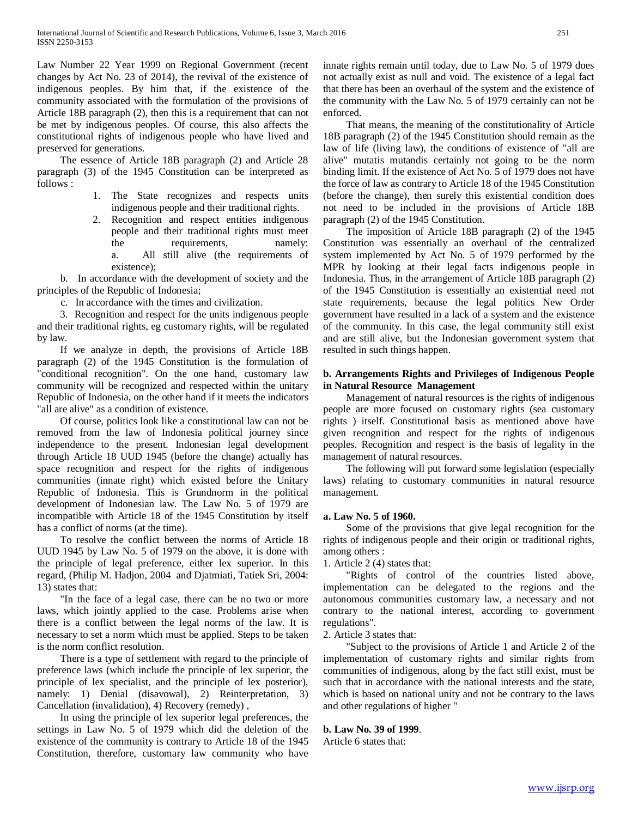Law Number 22 Year 1999 on Regional Government (recent changes by Act No. 23 of 2014), the revival of the existence of indigenous peoples. By him that, if the existence of the community associated with the formulation of the provisions of Article 18B paragraph (2), then this is a requirement that can not be met by indigenous peoples. Of course, this also affects the constitutional rights of indigenous people who have lived and preserved for generations.

 The essence of Article 18B paragraph (2) and Article 28 paragraph (3) of the 1945 Constitution can be interpreted as follows :

- 1. The State recognizes and respects units indigenous people and their traditional rights.
- 2. Recognition and respect entities indigenous people and their traditional rights must meet the requirements, namely: a. All still alive (the requirements of existence);

 b. In accordance with the development of society and the principles of the Republic of Indonesia;

c. In accordance with the times and civilization.

 3. Recognition and respect for the units indigenous people and their traditional rights, eg customary rights, will be regulated by law.

 If we analyze in depth, the provisions of Article 18B paragraph (2) of the 1945 Constitution is the formulation of "conditional recognition". On the one hand, customary law community will be recognized and respected within the unitary Republic of Indonesia, on the other hand if it meets the indicators "all are alive" as a condition of existence.

 Of course, politics look like a constitutional law can not be removed from the law of Indonesia political journey since independence to the present. Indonesian legal development through Article 18 UUD 1945 (before the change) actually has space recognition and respect for the rights of indigenous communities (innate right) which existed before the Unitary Republic of Indonesia. This is Grundnorm in the political development of Indonesian law. The Law No. 5 of 1979 are incompatible with Article 18 of the 1945 Constitution by itself has a conflict of norms (at the time).

 To resolve the conflict between the norms of Article 18 UUD 1945 by Law No. 5 of 1979 on the above, it is done with the principle of legal preference, either lex superior. In this regard, (Philip M. Hadjon, 2004 and Djatmiati, Tatiek Sri*,* 2004: 13) states that:

 "In the face of a legal case, there can be no two or more laws, which jointly applied to the case. Problems arise when there is a conflict between the legal norms of the law. It is necessary to set a norm which must be applied. Steps to be taken is the norm conflict resolution.

 There is a type of settlement with regard to the principle of preference laws (which include the principle of lex superior, the principle of lex specialist, and the principle of lex posterior), namely: 1) Denial (disavowal), 2) Reinterpretation, 3) Cancellation (invalidation), 4) Recovery (remedy) ,

 In using the principle of lex superior legal preferences, the settings in Law No. 5 of 1979 which did the deletion of the existence of the community is contrary to Article 18 of the 1945 Constitution, therefore, customary law community who have

innate rights remain until today, due to Law No. 5 of 1979 does not actually exist as null and void. The existence of a legal fact that there has been an overhaul of the system and the existence of the community with the Law No. 5 of 1979 certainly can not be enforced.

 That means, the meaning of the constitutionality of Article 18B paragraph (2) of the 1945 Constitution should remain as the law of life (living law), the conditions of existence of "all are alive" mutatis mutandis certainly not going to be the norm binding limit. If the existence of Act No. 5 of 1979 does not have the force of law as contrary to Article 18 of the 1945 Constitution (before the change), then surely this existential condition does not need to be included in the provisions of Article 18B paragraph (2) of the 1945 Constitution.

 The imposition of Article 18B paragraph (2) of the 1945 Constitution was essentially an overhaul of the centralized system implemented by Act No. 5 of 1979 performed by the MPR by looking at their legal facts indigenous people in Indonesia. Thus, in the arrangement of Article 18B paragraph (2) of the 1945 Constitution is essentially an existential need not state requirements, because the legal politics New Order government have resulted in a lack of a system and the existence of the community. In this case, the legal community still exist and are still alive, but the Indonesian government system that resulted in such things happen.

# **b. Arrangements Rights and Privileges of Indigenous People in Natural Resource Management**

 Management of natural resources is the rights of indigenous people are more focused on customary rights (sea customary rights ) itself. Constitutional basis as mentioned above have given recognition and respect for the rights of indigenous peoples. Recognition and respect is the basis of legality in the management of natural resources.

 The following will put forward some legislation (especially laws) relating to customary communities in natural resource management.

# **a. Law No. 5 of 1960.**

 Some of the provisions that give legal recognition for the rights of indigenous people and their origin or traditional rights, among others :

1. Article 2 (4) states that:

 "Rights of control of the countries listed above, implementation can be delegated to the regions and the autonomous communities customary law, a necessary and not contrary to the national interest, according to government regulations".

## 2. Article 3 states that:

 "Subject to the provisions of Article 1 and Article 2 of the implementation of customary rights and similar rights from communities of indigenous, along by the fact still exist, must be such that in accordance with the national interests and the state, which is based on national unity and not be contrary to the laws and other regulations of higher "

## **b. Law No. 39 of 1999**.

Article 6 states that: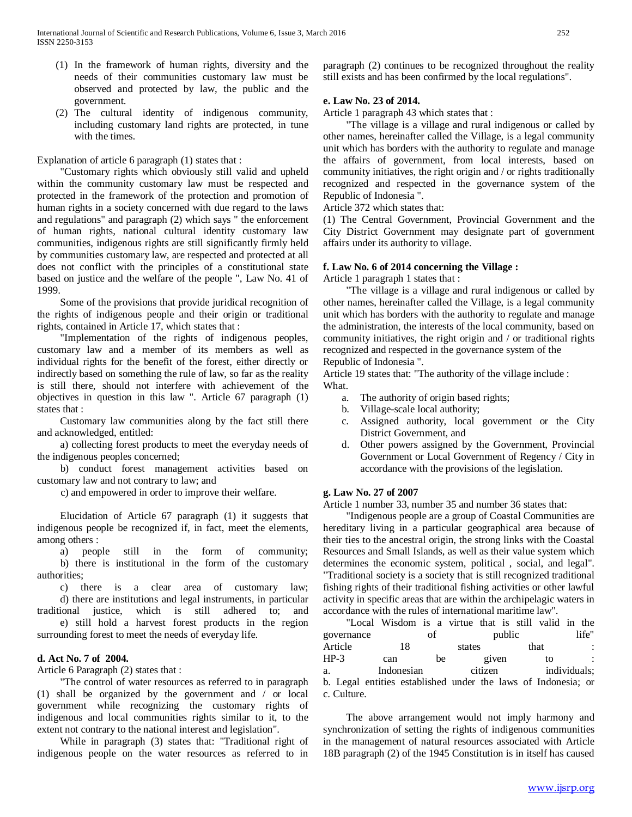- (1) In the framework of human rights, diversity and the needs of their communities customary law must be observed and protected by law, the public and the government.
- (2) The cultural identity of indigenous community, including customary land rights are protected, in tune with the times.

Explanation of article 6 paragraph (1) states that :

 "Customary rights which obviously still valid and upheld within the community customary law must be respected and protected in the framework of the protection and promotion of human rights in a society concerned with due regard to the laws and regulations" and paragraph (2) which says " the enforcement of human rights, national cultural identity customary law communities, indigenous rights are still significantly firmly held by communities customary law, are respected and protected at all does not conflict with the principles of a constitutional state based on justice and the welfare of the people ", Law No. 41 of 1999.

 Some of the provisions that provide juridical recognition of the rights of indigenous people and their origin or traditional rights, contained in Article 17, which states that :

 "Implementation of the rights of indigenous peoples, customary law and a member of its members as well as individual rights for the benefit of the forest, either directly or indirectly based on something the rule of law, so far as the reality is still there, should not interfere with achievement of the objectives in question in this law ". Article 67 paragraph (1) states that :

 Customary law communities along by the fact still there and acknowledged, entitled:

 a) collecting forest products to meet the everyday needs of the indigenous peoples concerned;

 b) conduct forest management activities based on customary law and not contrary to law; and

c) and empowered in order to improve their welfare.

 Elucidation of Article 67 paragraph (1) it suggests that indigenous people be recognized if, in fact, meet the elements, among others :

 a) people still in the form of community; b) there is institutional in the form of the customary authorities;

 c) there is a clear area of customary law; d) there are institutions and legal instruments, in particular

traditional justice, which is still adhered to; and e) still hold a harvest forest products in the region surrounding forest to meet the needs of everyday life.

## **d. Act No. 7 of 2004.**

Article 6 Paragraph (2) states that :

 "The control of water resources as referred to in paragraph (1) shall be organized by the government and / or local government while recognizing the customary rights of indigenous and local communities rights similar to it, to the extent not contrary to the national interest and legislation".

 While in paragraph (3) states that: "Traditional right of indigenous people on the water resources as referred to in

paragraph (2) continues to be recognized throughout the reality still exists and has been confirmed by the local regulations".

# **e. Law No. 23 of 2014.**

Article 1 paragraph 43 which states that :

 "The village is a village and rural indigenous or called by other names, hereinafter called the Village, is a legal community unit which has borders with the authority to regulate and manage the affairs of government, from local interests, based on community initiatives, the right origin and / or rights traditionally recognized and respected in the governance system of the Republic of Indonesia ".

Article 372 which states that:

(1) The Central Government, Provincial Government and the City District Government may designate part of government affairs under its authority to village.

## **f. Law No. 6 of 2014 concerning the Village :**

Article 1 paragraph 1 states that :

 "The village is a village and rural indigenous or called by other names, hereinafter called the Village, is a legal community unit which has borders with the authority to regulate and manage the administration, the interests of the local community, based on community initiatives, the right origin and / or traditional rights recognized and respected in the governance system of the Republic of Indonesia ".

Article 19 states that: "The authority of the village include : What.

- a. The authority of origin based rights;
- b. Village-scale local authority;
- c. Assigned authority, local government or the City District Government, and
- d. Other powers assigned by the Government, Provincial Government or Local Government of Regency / City in accordance with the provisions of the legislation.

#### **g. Law No. 27 of 2007**

Article 1 number 33, number 35 and number 36 states that:

 "Indigenous people are a group of Coastal Communities are hereditary living in a particular geographical area because of their ties to the ancestral origin, the strong links with the Coastal Resources and Small Islands, as well as their value system which determines the economic system, political , social, and legal". "Traditional society is a society that is still recognized traditional fishing rights of their traditional fishing activities or other lawful activity in specific areas that are within the archipelagic waters in accordance with the rules of international maritime law".

|                                                               | "Local Wisdom is a virtue that is still valid in the |    |    |  |         |  |  |              |  |       |
|---------------------------------------------------------------|------------------------------------------------------|----|----|--|---------|--|--|--------------|--|-------|
| governance                                                    |                                                      | of |    |  | public  |  |  |              |  | life" |
| Article                                                       |                                                      | 18 |    |  | states  |  |  | that         |  |       |
| $HP-3$                                                        | can                                                  |    | be |  | given   |  |  | to           |  |       |
| a.                                                            | Indonesian                                           |    |    |  | citizen |  |  | individuals: |  |       |
| b. Legal entities established under the laws of Indonesia; or |                                                      |    |    |  |         |  |  |              |  |       |
| c. Culture.                                                   |                                                      |    |    |  |         |  |  |              |  |       |

 The above arrangement would not imply harmony and synchronization of setting the rights of indigenous communities in the management of natural resources associated with Article 18B paragraph (2) of the 1945 Constitution is in itself has caused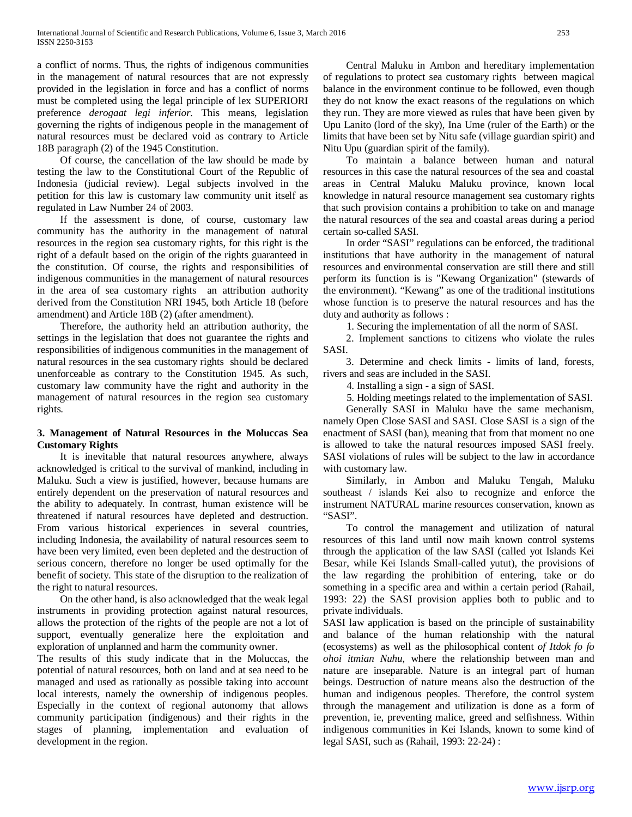a conflict of norms. Thus, the rights of indigenous communities in the management of natural resources that are not expressly provided in the legislation in force and has a conflict of norms must be completed using the legal principle of lex SUPERIORI preference *derogaat legi inferior*. This means, legislation governing the rights of indigenous people in the management of natural resources must be declared void as contrary to Article 18B paragraph (2) of the 1945 Constitution.

 Of course, the cancellation of the law should be made by testing the law to the Constitutional Court of the Republic of Indonesia (judicial review). Legal subjects involved in the petition for this law is customary law community unit itself as regulated in Law Number 24 of 2003.

 If the assessment is done, of course, customary law community has the authority in the management of natural resources in the region sea customary rights, for this right is the right of a default based on the origin of the rights guaranteed in the constitution. Of course, the rights and responsibilities of indigenous communities in the management of natural resources in the area of sea customary rights an attribution authority derived from the Constitution NRI 1945, both Article 18 (before amendment) and Article 18B (2) (after amendment).

 Therefore, the authority held an attribution authority, the settings in the legislation that does not guarantee the rights and responsibilities of indigenous communities in the management of natural resources in the sea customary rights should be declared unenforceable as contrary to the Constitution 1945. As such, customary law community have the right and authority in the management of natural resources in the region sea customary rights.

## **3. Management of Natural Resources in the Moluccas Sea Customary Rights**

 It is inevitable that natural resources anywhere, always acknowledged is critical to the survival of mankind, including in Maluku. Such a view is justified, however, because humans are entirely dependent on the preservation of natural resources and the ability to adequately. In contrast, human existence will be threatened if natural resources have depleted and destruction. From various historical experiences in several countries, including Indonesia, the availability of natural resources seem to have been very limited, even been depleted and the destruction of serious concern, therefore no longer be used optimally for the benefit of society. This state of the disruption to the realization of the right to natural resources.

 On the other hand, is also acknowledged that the weak legal instruments in providing protection against natural resources, allows the protection of the rights of the people are not a lot of support, eventually generalize here the exploitation and exploration of unplanned and harm the community owner.

The results of this study indicate that in the Moluccas, the potential of natural resources, both on land and at sea need to be managed and used as rationally as possible taking into account local interests, namely the ownership of indigenous peoples. Especially in the context of regional autonomy that allows community participation (indigenous) and their rights in the stages of planning, implementation and evaluation of development in the region.

 Central Maluku in Ambon and hereditary implementation of regulations to protect sea customary rights between magical balance in the environment continue to be followed, even though they do not know the exact reasons of the regulations on which they run. They are more viewed as rules that have been given by Upu Lanito (lord of the sky), Ina Ume (ruler of the Earth) or the limits that have been set by Nitu safe (village guardian spirit) and Nitu Upu (guardian spirit of the family).

 To maintain a balance between human and natural resources in this case the natural resources of the sea and coastal areas in Central Maluku Maluku province, known local knowledge in natural resource management sea customary rights that such provision contains a prohibition to take on and manage the natural resources of the sea and coastal areas during a period certain so-called SASI.

 In order "SASI" regulations can be enforced, the traditional institutions that have authority in the management of natural resources and environmental conservation are still there and still perform its function is is "Kewang Organization" (stewards of the environment). "Kewang" as one of the traditional institutions whose function is to preserve the natural resources and has the duty and authority as follows :

1. Securing the implementation of all the norm of SASI.

 2. Implement sanctions to citizens who violate the rules SASI.

 3. Determine and check limits - limits of land, forests, rivers and seas are included in the SASI.

4. Installing a sign - a sign of SASI.

5. Holding meetings related to the implementation of SASI.

 Generally SASI in Maluku have the same mechanism, namely Open Close SASI and SASI. Close SASI is a sign of the enactment of SASI (ban), meaning that from that moment no one is allowed to take the natural resources imposed SASI freely. SASI violations of rules will be subject to the law in accordance with customary law.

 Similarly, in Ambon and Maluku Tengah, Maluku southeast / islands Kei also to recognize and enforce the instrument NATURAL marine resources conservation, known as "SASI".

 To control the management and utilization of natural resources of this land until now maih known control systems through the application of the law SASI (called yot Islands Kei Besar, while Kei Islands Small-called yutut), the provisions of the law regarding the prohibition of entering, take or do something in a specific area and within a certain period (Rahail, 1993: 22) the SASI provision applies both to public and to private individuals.

SASI law application is based on the principle of sustainability and balance of the human relationship with the natural (ecosystems) as well as the philosophical content *of Itdok fo fo ohoi itmian Nuhu*, where the relationship between man and nature are inseparable. Nature is an integral part of human beings. Destruction of nature means also the destruction of the human and indigenous peoples. Therefore, the control system through the management and utilization is done as a form of prevention, ie, preventing malice, greed and selfishness. Within indigenous communities in Kei Islands, known to some kind of legal SASI, such as (Rahail, 1993: 22-24) :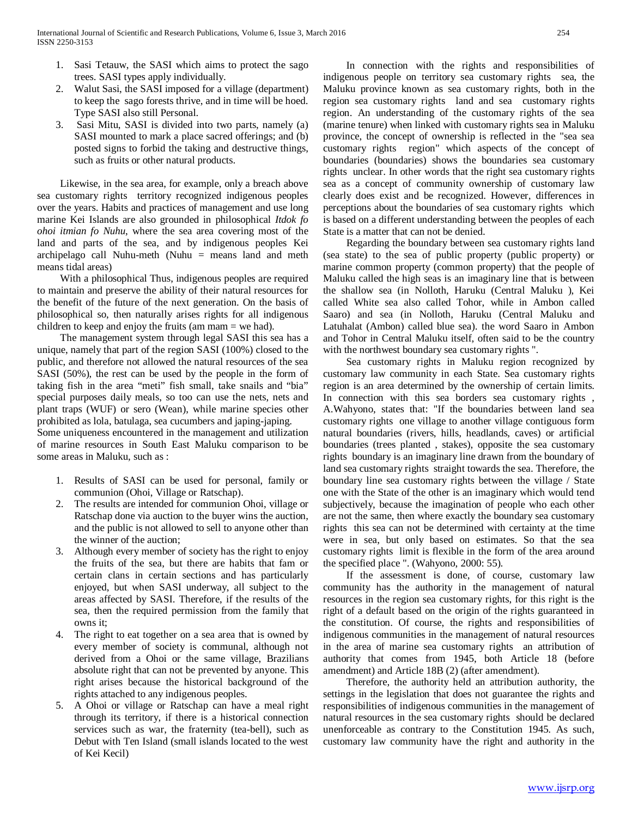- 1. Sasi Tetauw, the SASI which aims to protect the sago trees. SASI types apply individually.
- 2. Walut Sasi, the SASI imposed for a village (department) to keep the sago forests thrive, and in time will be hoed. Type SASI also still Personal.
- 3. Sasi Mitu, SASI is divided into two parts, namely (a) SASI mounted to mark a place sacred offerings; and (b) posted signs to forbid the taking and destructive things, such as fruits or other natural products.

 Likewise, in the sea area, for example, only a breach above sea customary rights territory recognized indigenous peoples over the years. Habits and practices of management and use long marine Kei Islands are also grounded in philosophical *Itdok fo ohoi itmian fo Nuhu*, where the sea area covering most of the land and parts of the sea, and by indigenous peoples Kei archipelago call Nuhu-meth (Nuhu = means land and meth means tidal areas)

 With a philosophical Thus, indigenous peoples are required to maintain and preserve the ability of their natural resources for the benefit of the future of the next generation. On the basis of philosophical so, then naturally arises rights for all indigenous children to keep and enjoy the fruits (am mam = we had).

 The management system through legal SASI this sea has a unique, namely that part of the region SASI (100%) closed to the public, and therefore not allowed the natural resources of the sea SASI (50%), the rest can be used by the people in the form of taking fish in the area "meti" fish small, take snails and "bia" special purposes daily meals, so too can use the nets, nets and plant traps (WUF) or sero (Wean), while marine species other prohibited as lola, batulaga, sea cucumbers and japing-japing.

Some uniqueness encountered in the management and utilization of marine resources in South East Maluku comparison to be some areas in Maluku, such as :

- 1. Results of SASI can be used for personal, family or communion (Ohoi, Village or Ratschap).
- 2. The results are intended for communion Ohoi, village or Ratschap done via auction to the buyer wins the auction, and the public is not allowed to sell to anyone other than the winner of the auction;
- 3. Although every member of society has the right to enjoy the fruits of the sea, but there are habits that fam or certain clans in certain sections and has particularly enjoyed, but when SASI underway, all subject to the areas affected by SASI. Therefore, if the results of the sea, then the required permission from the family that owns it;
- 4. The right to eat together on a sea area that is owned by every member of society is communal, although not derived from a Ohoi or the same village, Brazilians absolute right that can not be prevented by anyone. This right arises because the historical background of the rights attached to any indigenous peoples.
- 5. A Ohoi or village or Ratschap can have a meal right through its territory, if there is a historical connection services such as war, the fraternity (tea-bell), such as Debut with Ten Island (small islands located to the west of Kei Kecil)

 In connection with the rights and responsibilities of indigenous people on territory sea customary rights sea, the Maluku province known as sea customary rights, both in the region sea customary rights land and sea customary rights region. An understanding of the customary rights of the sea (marine tenure) when linked with customary rights sea in Maluku province, the concept of ownership is reflected in the "sea sea customary rights region" which aspects of the concept of boundaries (boundaries) shows the boundaries sea customary rights unclear. In other words that the right sea customary rights sea as a concept of community ownership of customary law clearly does exist and be recognized. However, differences in perceptions about the boundaries of sea customary rights which is based on a different understanding between the peoples of each State is a matter that can not be denied.

 Regarding the boundary between sea customary rights land (sea state) to the sea of public property (public property) or marine common property (common property) that the people of Maluku called the high seas is an imaginary line that is between the shallow sea (in Nolloth, Haruku (Central Maluku ), Kei called White sea also called Tohor, while in Ambon called Saaro) and sea (in Nolloth, Haruku (Central Maluku and Latuhalat (Ambon) called blue sea). the word Saaro in Ambon and Tohor in Central Maluku itself, often said to be the country with the northwest boundary sea customary rights ".

 Sea customary rights in Maluku region recognized by customary law community in each State. Sea customary rights region is an area determined by the ownership of certain limits. In connection with this sea borders sea customary rights , A.Wahyono, states that: "If the boundaries between land sea customary rights one village to another village contiguous form natural boundaries (rivers, hills, headlands, caves) or artificial boundaries (trees planted , stakes), opposite the sea customary rights boundary is an imaginary line drawn from the boundary of land sea customary rights straight towards the sea. Therefore, the boundary line sea customary rights between the village / State one with the State of the other is an imaginary which would tend subjectively, because the imagination of people who each other are not the same, then where exactly the boundary sea customary rights this sea can not be determined with certainty at the time were in sea, but only based on estimates. So that the sea customary rights limit is flexible in the form of the area around the specified place ". (Wahyono, 2000: 55).

 If the assessment is done, of course, customary law community has the authority in the management of natural resources in the region sea customary rights, for this right is the right of a default based on the origin of the rights guaranteed in the constitution. Of course, the rights and responsibilities of indigenous communities in the management of natural resources in the area of marine sea customary rights an attribution of authority that comes from 1945, both Article 18 (before amendment) and Article 18B (2) (after amendment).

 Therefore, the authority held an attribution authority, the settings in the legislation that does not guarantee the rights and responsibilities of indigenous communities in the management of natural resources in the sea customary rights should be declared unenforceable as contrary to the Constitution 1945. As such, customary law community have the right and authority in the